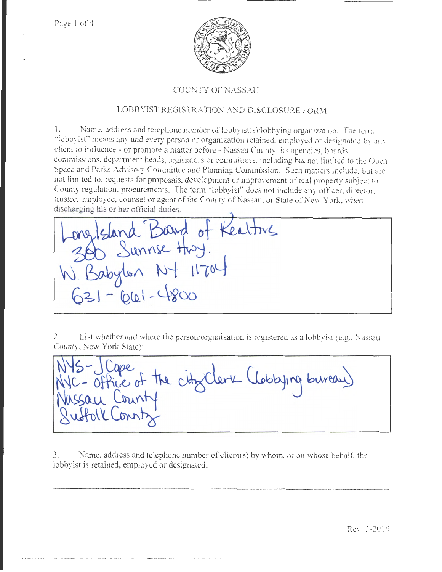Page 1 of 4



## COUNTY OF NASSAU

# LOBBYIST REGISTRA TlON AND DISCLOSURE FORM

1. Name, address and telephone number of lobbyist(s)/lobbying organization. The term "lobbyist'' means any and every person or organjzation retained, employed or designated by any client to influence - or promote a matter before - Nassau County, its agencies, boards. commissions. department heads, legislators or committees, including but not limited to the Open Space and Parks Advisory Committee and Planning Commission. Such matters indudc, but arc not limited to, requests for proposals, development or improvement of real property subject to County regulation, procurements. The term "lobbyist" does not include any officer, director. trustee, employee, counsel or agent of the County of Nassau, or State of New York, when discharging his or her official duties.

ong/sland Board of Keattry  $11704$ Babylon N- $-661-4800$ 

2. List whether and where the person/organization is registered as a lobbyist (e.g., Nassau County, New York State):

- Office of the city Clerk (Lobbying bureau)

3. Name, address and telephone number of client(s) by whom, or on whose behalf, the lobbyist is retained, employed or designated:

·----···-········--···········-··- ··························--············-······---- ----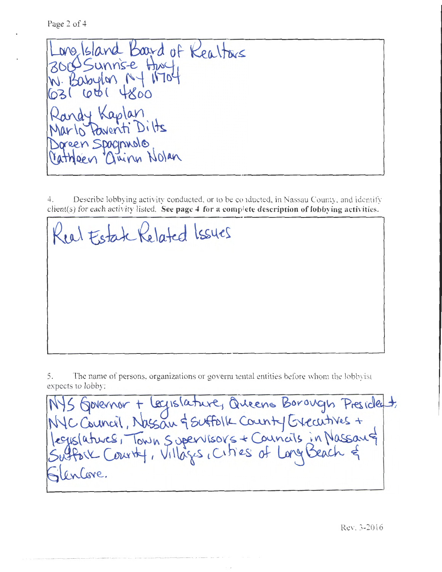Page 2 of 4

Long Island Board of Realtons W. Babylon NY Randy Kaplan Marlo Paventi Dilts Joreen Spagnualo Vatheen Quinn Nolan

4. Describe lobbying activity conducted. or to be conducted, in Nassau County, and identify client(s) for each activity listed. See page 4 for a complete description of lobbying activities.

Real Estate Related Issues

5. The name of persons, organizations or goverm nental entities before whom the lobbyist

expects to lobby:<br>NYS Governor + legislature, Queens Borough President,<br>NYC Council, Nassau & Suffolk County Executives +<br>Suffork County, Villages, Cities of Long Beach & lencore.

Rev. 3-2016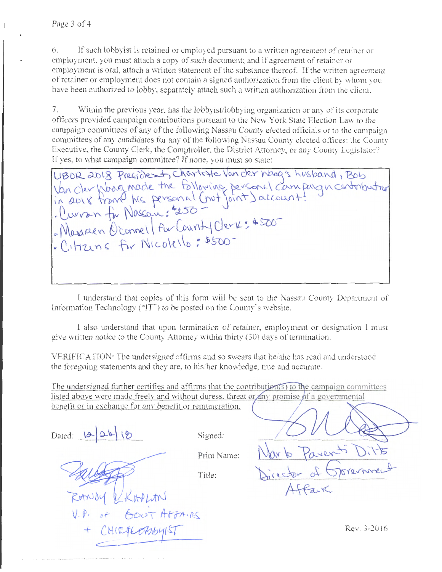6. If such lobbyist is retained or employed pursuant to a written agreement of retainer or employment. you must attach a copy of such document; and if agreement of retainer or employment is oral, attach a written statement of the substance thereof. If the written agreement of retainer or employment does not contain a signed authorization from the client by \Vhom you have been authorized to lobby, separately attach such a written authorization from the client.

7. Within the previous year, has the lobbyist/lobbying organization or any of its corporate officers provided campaign contributions pursuant to the New York State Election law to the campaign committees of any of the following Nassau County elected officials or to the campaign committees of any candidates for any of the following Nassau County elected offices: the County Executive, the County Clerk, the Comptroller, the District Attorney, or any County Legislator? If yes, to what campaign committee? If none, you must so state:

LIBOR 2018 Precident, Charlotte Van der Naag's husband, Bob UBOR 2018 Precident, charlotte van der Noog's husband, Bob<br>Van der Woog mode the folloping personal campaign contribution<br>in 2018 from his personal (not joint) account:<br>. Curran for Nassau: #250 Maxinen Oconnel For Count Clerk: 4500 Citizens for Nicolello: \$500

I understand that copies of this form will be sent to the Nassau County Department of Information Technology (" $TT$ ") to be posted on the County's website.

I also understand that upon termination of retainer, employment or designation I must give written notice to the County Attorney within thirty (30) days of termination.

VERJFICATJON: The undersigned affirms and so swears that he/she has read and understood the foregoing statements and they are. to his/her knowledge, true and accurate.

The undersigned further certifies and affirms that the contribution  $(s)$  to the campaign committees listed above were made freely and without duress, threat or any promise of a governmental benefit or in exchange for any benefit or remuneration.

Dated:  $\left|\mathbf{\alpha}\right|$   $\Delta\mathbf{\beta}\left|\mathbf{\beta}\right|$  ( $\delta$  Signed:

Print Name:

Title:

 $1.100$ of BOUT AFFAIRS CHIEFLOMBYIST  $\subset$ 

icetor of

Rev. 3-2016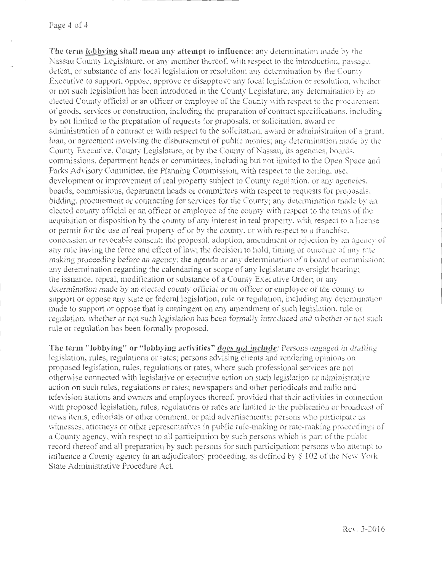### Page 4 of 4

**The term lobbving shall mean any attempt to influence:** any determination made by the Nassau County Legislature. or any member thereof. with respect to the introduction. passage. defeat, or substance of any local legislation or resolution; any determination by the County Executive to support. oppose, approve or disapprove any local legislation or resolution. whether or not such legislation bas been introduced in the County Legislature; any determination by an elected County official or an officer or employee of the County with respect to the procurement of goods, services or construction, including the preparation of contract specifications. including by not limited to the preparation of requests for proposals, or solicitation, award or administration of a contract or with respect to the solicitation, award or administration of a grant, loan, or agreement involving the disbursement of public monjes; any determination made by the County Executive, County Legislature, or by the County of Nassau, its agencies, boards. commissions, department beads or committees, including but not limited to the Open Space and Parks Advisory Committee, the Planning Commission. with respect to the zoning, use, development or improvement of real property subject to County regulation, or any agencies, boards, commissions, department heads or committees with respect to requests for proposals, bidding, procurement or contracting for services for the County; any determination made by an elected county official or an officer or employee of the county with respect to the terms of the acquisition or disposition by the county of any interest in real property, with respect to a license or permit for the use of real property of or by the county, or with respect to a franchise, concession or revocable consent; the proposal. adoption, amendment or rejection by an agency of any rule having the force and effect of law; the decision to hold, timing or outcome of any rate making proceeding before an agency; the agenda or any determination of a board or commission; any determination regarding the calendaring or scope of any legislature oversight hearing; the issuance, repeal, modification or substance of a County Executive Order; or any determination made by an elected county official or an officer or employee of the county to support or oppose any state or federal legislation, rule or regulation, including any determination made to support or oppose that is contingent on any amendment of such legislation, rule or regulation, whether or not such legislation has been formally introduced and whether or not such rule or regulation has been formally proposed.

**The term "lobbying" or "lobbying activities" does not include: Persons engaged in drafting** legislation, rules, regulations or rates; persons advising clients and rendering opinions on proposed legislation, rules, regulations or rates, where such professional services are not otherwise connected with legislative or executive action on such legislation or administrative action on such rules, regulations or rates; newspapers and other periodicals and radio and television stations and owners and employees thereof, provided that their activities in connection with proposed legislation, rules, regulations or rates are limited to the publication or broadcast of news items, editorials or other comment, or paid advertisements; persons who participate a witnesses, attorneys or other representatives in public rule-making or rate-making proceedings of a County agency, with respect to all participation by such persons which is part of the public record thereof and all preparation by such persons for such participation; persons who attempt to influence a County agency in an adjudicatory proceeding, as defined by § 102 of the New York State Administrative Procedure Act.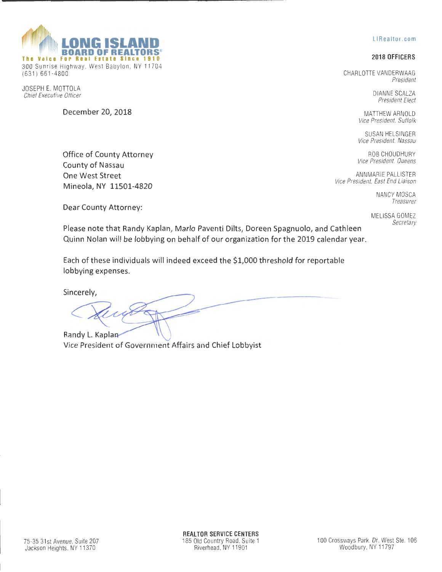

(631 ) 661-4800

JOSEPH E. MOTTOLA Chief Executive Officer

Dear County Attorney:

**BOARD OF REAL** The Voice For Real Estate Since 1910 300 Sunrise Highway. West Babylon. NY 11704

December *20,* 2018

### LIRealtor.com

## 2018 OFFICERS

CHARLOTTE VANDERWAAG President

> DIANNE SCALZA President Elect

MATTHEW ARNOLD Vice President, Suffolk

SUSAN HELSINGER Vice President. Nassau

ROB CHOUDHURY Vice President, Queens

ANNMARIE PALLISTER Vice President, East End Liaison

> NANCY MOSCA Treasurer

MELISSA GOMEZ Secretary

Please note that Randy Kaplan, Mario Paventi Dilts, Doreen Spagnuolo, and Cathleen Quinn Nolan will be lobbying on behalf of our organization for the 2019 calendar year.

Each of these individuals will indeed exceed the \$1,000 threshold for reportable lobbying expenses.

Sincerely,

Randy L. Kapla Vice President of Government Affairs and Chief Lobbyist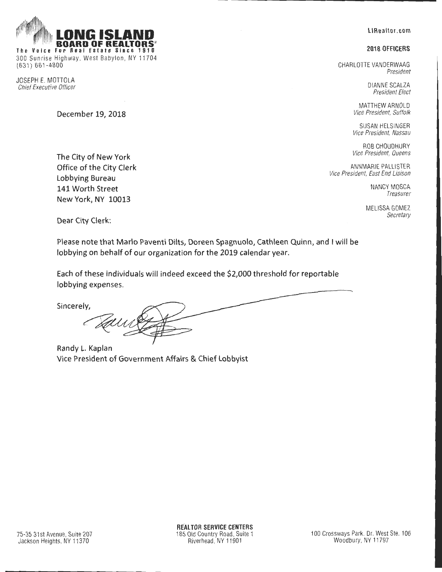**LIRealtor.com** 

### **2018 OFFICERS**

CHARLOTTE VANDERWAAG President

> DIANNE SCALZA President Elect

MATTHEW ARNOLD Vice President, Suffolk

SUSAN HELSINGER Vice President, Nassau

ROB CHOUDHURY Vice President, Queens

ANNMARIE PALLISTER Vice President, East End Liaison

> NANCY MOSCA Treasurer

MELISSA GOMEZ Secretary

BOARD OF REALTORS **The Voice For Real Estate Since 1910** 

300 Sunrise Highway, West Babylon, NY 11704 (631) 661-4800

JOSEPH E. MOTTOLA Chief Executive Officer

**December 19, 2018** 

**The City of New York Office of the City Clerk Lobbying Bureau 141 Worth Street New York, NY 10013** 

**Dear City Clerk:** 

**Please note that Marlo Paventi Dilts, Doreen Spagnuolo, Cathleen Quinn, and I will be lobbying on behalf of our organization for the 2019 calendar year.** 

**Each of these individuals will indeed exceed the \$2,000 threshold for reportable lobbying expenses.** 

**Sincerely,** 

**Randy L. Kaplan Vice President of Government Affairs & Chief Lobbyist**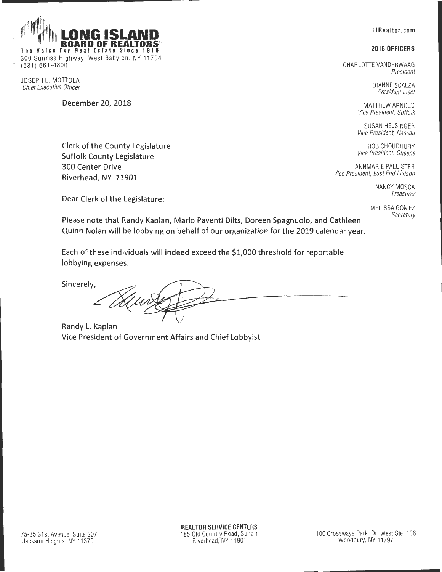**LIRealtor.com** 

#### **2018 OFFICERS**

CHARLOTTE VANDERWAAG President

> DIANNE SCALZA President Elect

MATTHEW ARNOLD Vice President, Suffolk

SUSAN HELSINGER Vice President, Nassau

ROB CHOUDHURY Vice President, Queens

ANNMARIE PALLISTER Vice President, East End Liaison

> NANCY MOSCA Treasurer

MELISSA GOMEZ **Secretary** 

**Dear Clerk of the Legislature:** 

**Clerk of the County Legislature Suffolk County Legislature** 

BOARD OF REALTORS

**The Voice For Real Estate Since 1910**  300 Sunrise Highway, West Babylon, NY 11704

**December 20, 2018** 

**300 Center Drive Riverhead, NY 11901** 

(631) 661-4800

JOSEPH E. MOTTOLA Chief Executive Officer

> **Please note that Randy Kaplan, Marlo Paventi Dilts, Doreen Spagnuolo, and Cathleen Quinn Nolan will be lobbying on behalf of our organization for the 2019 calendar year.**

**Each of these individuals will indeed exceed the \$1,000 threshold for reportable lobbying expenses.** 

**Sincerely,** 

**Randy L. Kaplan Vice President of Government Affairs and Chief Lobbyist**